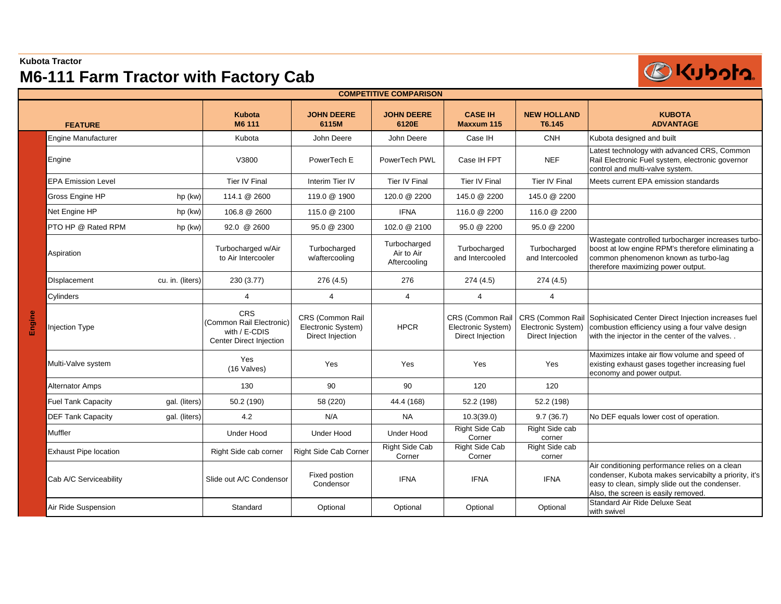## **Kubota Tractor M6-111 Farm Tractor with Factory Cab**



| <b>COMPETITIVE COMPARISON</b> |                              |                  |                                                                                    |                                                            |                                            |                                                            |                                                            |                                                                                                                                                                                                  |  |
|-------------------------------|------------------------------|------------------|------------------------------------------------------------------------------------|------------------------------------------------------------|--------------------------------------------|------------------------------------------------------------|------------------------------------------------------------|--------------------------------------------------------------------------------------------------------------------------------------------------------------------------------------------------|--|
|                               | <b>FEATURE</b>               |                  | <b>Kubota</b><br>M6 111                                                            | <b>JOHN DEERE</b><br>6115M                                 | <b>JOHN DEERE</b><br>6120E                 | <b>CASE IH</b><br>Maxxum 115                               | <b>NEW HOLLAND</b><br>T6.145                               | <b>KUBOTA</b><br><b>ADVANTAGE</b>                                                                                                                                                                |  |
|                               | <b>Engine Manufacturer</b>   |                  | Kubota                                                                             | John Deere                                                 | John Deere                                 | Case IH                                                    | <b>CNH</b>                                                 | Kubota designed and built                                                                                                                                                                        |  |
|                               | Engine                       |                  | V3800                                                                              | PowerTech E                                                | PowerTech PWL                              | Case IH FPT                                                | <b>NEF</b>                                                 | Latest technology with advanced CRS, Common<br>Rail Electronic Fuel system, electronic governor<br>control and multi-valve system.                                                               |  |
|                               | <b>EPA Emission Level</b>    |                  | <b>Tier IV Final</b>                                                               | Interim Tier IV                                            | Tier IV Final                              | <b>Tier IV Final</b>                                       | Tier IV Final                                              | Meets current EPA emission standards                                                                                                                                                             |  |
|                               | Gross Engine HP              | hp (kw)          | 114.1 @ 2600                                                                       | 119.0 @ 1900                                               | 120.0 @ 2200                               | 145.0 @ 2200                                               | 145.0 @ 2200                                               |                                                                                                                                                                                                  |  |
|                               | Net Engine HP                | hp (kw)          | 106.8 @ 2600                                                                       | 115.0 @ 2100                                               | <b>IFNA</b>                                | 116.0 @ 2200                                               | 116.0 @ 2200                                               |                                                                                                                                                                                                  |  |
|                               | PTO HP @ Rated RPM           | hp (kw)          | 92.0 @ 2600                                                                        | 95.0 @ 2300                                                | 102.0 @ 2100                               | 95.0 @ 2200                                                | 95.0 @ 2200                                                |                                                                                                                                                                                                  |  |
|                               | Aspiration                   |                  | Turbocharged w/Air<br>to Air Intercooler                                           | Turbocharged<br>w/aftercooling                             | Turbocharged<br>Air to Air<br>Aftercooling | Turbocharged<br>and Intercooled                            | Turbocharged<br>and Intercooled                            | Wastegate controlled turbocharger increases turbo-<br>boost at low engine RPM's therefore eliminating a<br>common phenomenon known as turbo-lag<br>therefore maximizing power output.            |  |
| Engine                        | Displacement                 | cu. in. (liters) | 230 (3.77)                                                                         | 276 (4.5)                                                  | 276                                        | 274(4.5)                                                   | 274 (4.5)                                                  |                                                                                                                                                                                                  |  |
|                               | Cylinders                    |                  | 4                                                                                  | $\overline{4}$                                             | $\overline{4}$                             | 4                                                          | $\overline{4}$                                             |                                                                                                                                                                                                  |  |
|                               | <b>Injection Type</b>        |                  | <b>CRS</b><br>(Common Rail Electronic)<br>with / E-CDIS<br>Center Direct Injection | CRS (Common Rail<br>Electronic System)<br>Direct Injection | <b>HPCR</b>                                | CRS (Common Rail<br>Electronic System)<br>Direct Injection | CRS (Common Rail<br>Electronic System)<br>Direct Injection | Sophisicated Center Direct Injection increases fuel<br>combustion efficiency using a four valve design<br>with the injector in the center of the valves                                          |  |
|                               | Multi-Valve system           |                  | Yes<br>(16 Valves)                                                                 | Yes                                                        | Yes                                        | Yes                                                        | Yes                                                        | Maximizes intake air flow volume and speed of<br>existing exhaust gases together increasing fuel<br>economy and power output.                                                                    |  |
|                               | <b>Alternator Amps</b>       |                  | 130                                                                                | 90                                                         | 90                                         | 120                                                        | 120                                                        |                                                                                                                                                                                                  |  |
|                               | <b>Fuel Tank Capacity</b>    | gal. (liters)    | 50.2 (190)                                                                         | 58 (220)                                                   | 44.4 (168)                                 | 52.2 (198)                                                 | 52.2 (198)                                                 |                                                                                                                                                                                                  |  |
|                               | <b>DEF Tank Capacity</b>     | gal. (liters)    | 4.2                                                                                | N/A                                                        | <b>NA</b>                                  | 10.3(39.0)                                                 | 9.7(36.7)                                                  | No DEF equals lower cost of operation.                                                                                                                                                           |  |
|                               | Muffler                      |                  | <b>Under Hood</b>                                                                  | <b>Under Hood</b>                                          | <b>Under Hood</b>                          | <b>Right Side Cab</b><br>Corner                            | Right Side cab<br>corner                                   |                                                                                                                                                                                                  |  |
|                               | <b>Exhaust Pipe location</b> |                  | Right Side cab corner                                                              | Right Side Cab Corner                                      | <b>Right Side Cab</b><br>Corner            | <b>Right Side Cab</b><br>Corner                            | Right Side cab<br>corner                                   |                                                                                                                                                                                                  |  |
|                               | Cab A/C Serviceability       |                  | Slide out A/C Condensor                                                            | Fixed postion<br>Condensor                                 | <b>IFNA</b>                                | <b>IFNA</b>                                                | <b>IFNA</b>                                                | Air conditioning performance relies on a clean<br>condenser, Kubota makes servicabilty a priority, it's<br>easy to clean, simply slide out the condenser.<br>Also, the screen is easily removed. |  |
|                               | Air Ride Suspension          |                  | Standard                                                                           | Optional                                                   | Optional                                   | Optional                                                   | Optional                                                   | Standard Air Ride Deluxe Seat<br>with swivel                                                                                                                                                     |  |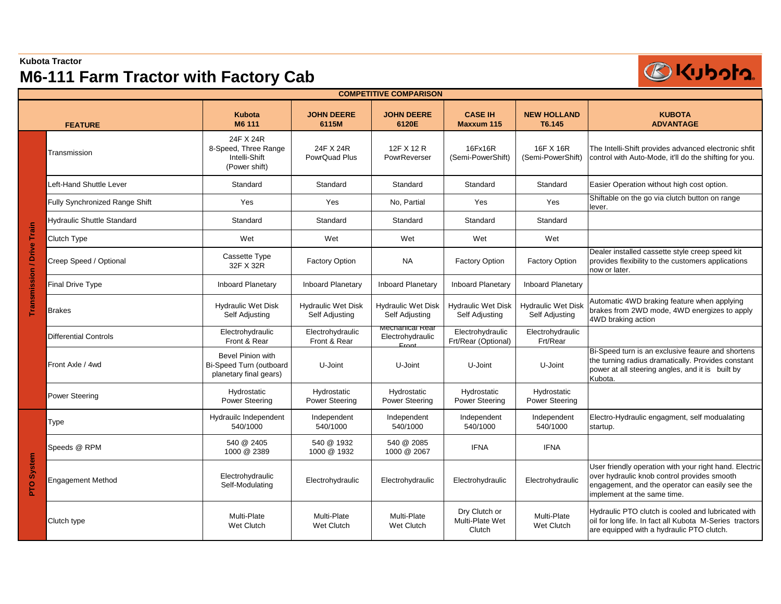## **M6-111 Farm Tractor with Factory Cab**



| <b>COMPETITIVE COMPARISON</b> |                                       |                                                                        |                                             |                                                |                                             |                                             |                                                                                                                                                                                         |  |  |
|-------------------------------|---------------------------------------|------------------------------------------------------------------------|---------------------------------------------|------------------------------------------------|---------------------------------------------|---------------------------------------------|-----------------------------------------------------------------------------------------------------------------------------------------------------------------------------------------|--|--|
| <b>FEATURE</b>                |                                       | <b>Kubota</b><br>M6 111                                                | <b>JOHN DEERE</b><br>6115M                  | <b>JOHN DEERE</b><br>6120E                     | <b>CASE IH</b><br><b>Maxxum 115</b>         | <b>NEW HOLLAND</b><br>T6.145                | <b>KUBOTA</b><br><b>ADVANTAGE</b>                                                                                                                                                       |  |  |
|                               | Transmission                          | 24F X 24R<br>8-Speed, Three Range<br>Intelli-Shift<br>(Power shift)    | 24F X 24R<br>PowrQuad Plus                  | 12F X 12 R<br>PowrReverser                     | 16Fx16R<br>(Semi-PowerShift)                | 16F X 16R<br>(Semi-PowerShift)              | The Intelli-Shift provides advanced electronic shfit<br>control with Auto-Mode, it'll do the shifting for you.                                                                          |  |  |
|                               | eft-Hand Shuttle Lever                | Standard                                                               | Standard                                    | Standard                                       | Standard                                    | Standard                                    | Easier Operation without high cost option.                                                                                                                                              |  |  |
|                               | <b>Fully Synchronized Range Shift</b> | Yes                                                                    | Yes                                         | No, Partial                                    | Yes                                         | Yes                                         | Shiftable on the go via clutch button on range<br>lever.                                                                                                                                |  |  |
|                               | <b>Hydraulic Shuttle Standard</b>     | Standard                                                               | Standard                                    | Standard                                       | Standard                                    | Standard                                    |                                                                                                                                                                                         |  |  |
|                               | Clutch Type                           | Wet                                                                    | Wet                                         | Wet                                            | Wet                                         | Wet                                         |                                                                                                                                                                                         |  |  |
| Transmission / Drive Train    | Creep Speed / Optional                | Cassette Type<br>32F X 32R                                             | <b>Factory Option</b>                       | <b>NA</b>                                      | <b>Factory Option</b>                       | <b>Factory Option</b>                       | Dealer installed cassette style creep speed kit<br>provides flexibility to the customers applications<br>now or later.                                                                  |  |  |
|                               | <b>Final Drive Type</b>               | <b>Inboard Planetary</b>                                               | Inboard Planetary                           | <b>Inboard Planetary</b>                       | <b>Inboard Planetary</b>                    | <b>Inboard Planetary</b>                    |                                                                                                                                                                                         |  |  |
|                               | <b>Brakes</b>                         | <b>Hydraulic Wet Disk</b><br>Self Adjusting                            | <b>Hydraulic Wet Disk</b><br>Self Adjusting | <b>Hydraulic Wet Disk</b><br>Self Adjusting    | <b>Hydraulic Wet Disk</b><br>Self Adjusting | <b>Hydraulic Wet Disk</b><br>Self Adjusting | Automatic 4WD braking feature when applying<br>brakes from 2WD mode, 4WD energizes to apply<br>4WD braking action                                                                       |  |  |
|                               | <b>Differential Controls</b>          | Electrohydraulic<br>Front & Rear                                       | Electrohydraulic<br>Front & Rear            | iviecnanicai Rear<br>Electrohydraulic<br>Eront | Electrohydraulic<br>Frt/Rear (Optional)     | Electrohydraulic<br>Frt/Rear                |                                                                                                                                                                                         |  |  |
|                               | Front Axle / 4wd                      | Bevel Pinion with<br>Bi-Speed Turn (outboard<br>planetary final gears) | U-Joint                                     | U-Joint                                        | U-Joint                                     | U-Joint                                     | Bi-Speed turn is an exclusive feaure and shortens<br>the turning radius dramatically. Provides constant<br>power at all steering angles, and it is built by<br>Kubota.                  |  |  |
|                               | Power Steering                        | Hydrostatic<br>Power Steering                                          | Hydrostatic<br>Power Steering               | Hydrostatic<br>Power Steering                  | Hydrostatic<br>Power Steering               | Hydrostatic<br>Power Steering               |                                                                                                                                                                                         |  |  |
| <b>System</b><br>PTO          | <b>Type</b>                           | Hydrauilc Independent<br>540/1000                                      | Independent<br>540/1000                     | Independent<br>540/1000                        | Independent<br>540/1000                     | Independent<br>540/1000                     | Electro-Hydraulic engagment, self modualating<br>startup.                                                                                                                               |  |  |
|                               | Speeds @ RPM                          | 540 @ 2405<br>1000 @ 2389                                              | 540 @ 1932<br>1000 @ 1932                   | 540 @ 2085<br>1000 @ 2067                      | <b>IFNA</b>                                 | <b>IFNA</b>                                 |                                                                                                                                                                                         |  |  |
|                               | <b>Engagement Method</b>              | Electrohydraulic<br>Self-Modulating                                    | Electrohydraulic                            | Electrohydraulic                               | Electrohydraulic                            | Electrohydraulic                            | User friendly operation with your right hand. Electric<br>over hydraulic knob control provides smooth<br>engagement, and the operator can easily see the<br>implement at the same time. |  |  |
|                               | Clutch type                           | Multi-Plate<br>Wet Clutch                                              | Multi-Plate<br>Wet Clutch                   | Multi-Plate<br>Wet Clutch                      | Dry Clutch or<br>Multi-Plate Wet<br>Clutch  | Multi-Plate<br>Wet Clutch                   | Hydraulic PTO clutch is cooled and lubricated with<br>oil for long life. In fact all Kubota M-Series tractors<br>are equipped with a hydraulic PTO clutch.                              |  |  |

**Kubota Tractor**